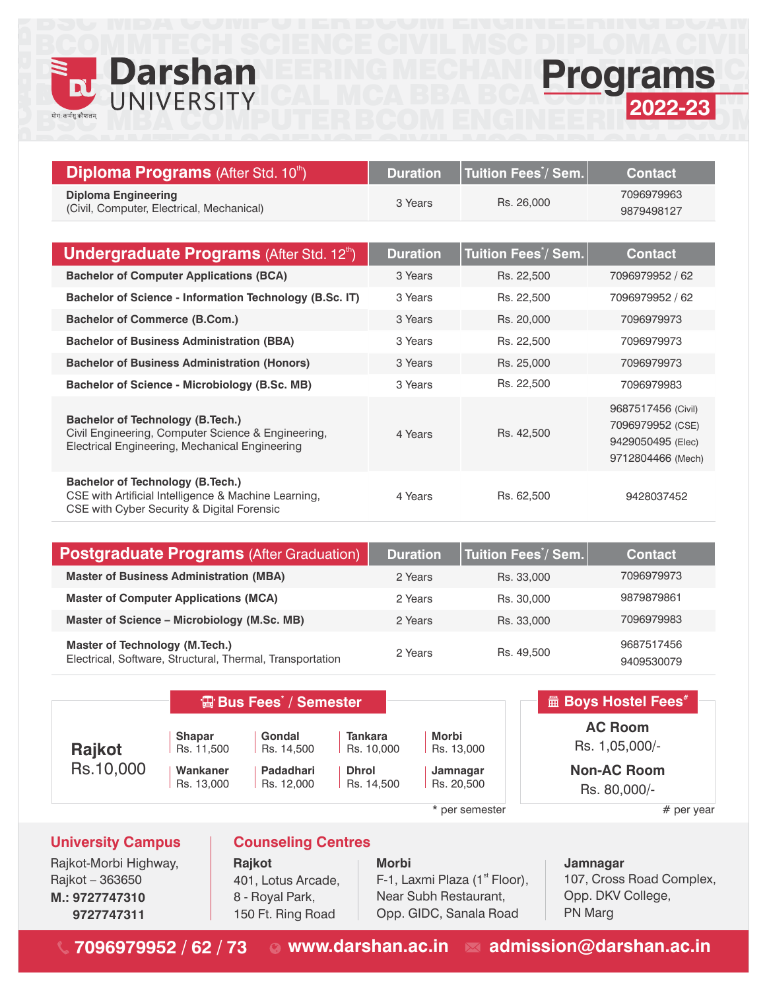

<u>BCOM</u>

B

## MTECH shan EERINGMECHANICPro UNIVERSITY CAL MCA **IVERSITY**

COMPUTER

<u>AAIENIAE</u>

MTEAU<br>M



<u>DIDI ANLA AIMIL</u>

| <b>Diploma Programs</b> (After Std. 10 <sup>th</sup> )                                                                                          | <b>Duration</b>       | Tuition Fees <sup>*</sup> / Sem. | <b>Contact</b>                                                                   |
|-------------------------------------------------------------------------------------------------------------------------------------------------|-----------------------|----------------------------------|----------------------------------------------------------------------------------|
| <b>Diploma Engineering</b><br>(Civil, Computer, Electrical, Mechanical)                                                                         | 3 Years               | Rs. 26,000                       | 7096979963<br>9879498127                                                         |
|                                                                                                                                                 |                       |                                  |                                                                                  |
| <b>Undergraduate Programs (After Std. 12th)</b>                                                                                                 | <b>Duration</b>       | Tuition Fees <sup>*</sup> / Sem. | <b>Contact</b>                                                                   |
| <b>Bachelor of Computer Applications (BCA)</b>                                                                                                  | 3 Years               | Rs. 22,500                       | 7096979952 / 62                                                                  |
| Bachelor of Science - Information Technology (B.Sc. IT)                                                                                         | 3 Years               | Rs. 22,500                       | 7096979952 / 62                                                                  |
| <b>Bachelor of Commerce (B.Com.)</b>                                                                                                            | 3 Years               | Rs. 20,000                       | 7096979973                                                                       |
| <b>Bachelor of Business Administration (BBA)</b>                                                                                                | 3 Years               | Rs. 22,500                       | 7096979973                                                                       |
| <b>Bachelor of Business Administration (Honors)</b>                                                                                             | 3 Years<br>Rs. 25,000 |                                  | 7096979973                                                                       |
| Bachelor of Science - Microbiology (B.Sc. MB)                                                                                                   | 3 Years               | Rs. 22,500                       | 7096979983                                                                       |
| <b>Bachelor of Technology (B.Tech.)</b><br>Civil Engineering, Computer Science & Engineering,<br>Electrical Engineering, Mechanical Engineering | 4 Years               | Rs. 42,500                       | 9687517456 (Civil)<br>7096979952 (CSE)<br>9429050495 (Elec)<br>9712804466 (Mech) |
| <b>Bachelor of Technology (B.Tech.)</b><br>CSE with Artificial Intelligence & Machine Learning,<br>CSE with Cyber Security & Digital Forensic   | 4 Years               | Rs. 62,500                       | 9428037452                                                                       |

<u>Civil III.</u><br>Civil II.

<u>MAAA</u>

| <b>Postgraduate Programs (After Graduation)</b>                                                    | <b>Duration</b> | $\mid$ Tuition Fees $\dot{\restriction}$ Sem. $\mid$ | <b>Contact</b>           |
|----------------------------------------------------------------------------------------------------|-----------------|------------------------------------------------------|--------------------------|
| <b>Master of Business Administration (MBA)</b>                                                     | 2 Years         | Rs. 33,000                                           | 7096979973               |
| <b>Master of Computer Applications (MCA)</b>                                                       | 2 Years         | Rs. 30,000                                           | 9879879861               |
| Master of Science - Microbiology (M.Sc. MB)                                                        | 2 Years         | Rs. 33,000                                           | 7096979983               |
| <b>Master of Technology (M.Tech.)</b><br>Electrical, Software, Structural, Thermal, Transportation | 2 Years         | Rs. 49.500                                           | 9687517456<br>9409530079 |

|           | <b>骨Bus Fees / Semester</b> |            |                | <b>Allequark Boys Hostel Fees</b> # |                    |
|-----------|-----------------------------|------------|----------------|-------------------------------------|--------------------|
| Rajkot    | <b>Shapar</b>               | Gondal     | <b>Tankara</b> | Morbi                               | <b>AC Room</b>     |
|           | Rs. 11,500                  | Rs. 14,500 | Rs. 10,000     | Rs. 13,000                          | Rs. 1,05,000/-     |
| Rs.10,000 | Wankaner                    | Padadhari  | <b>Dhrol</b>   | Jamnagar                            | <b>Non-AC Room</b> |
|           | Rs. 13,000                  | Rs. 12,000 | Rs. 14,500     | Rs. 20,500                          | Rs. 80,000/-       |
|           |                             |            |                | * per semester                      | # per year         |

**University Campus** Rajkot-Morbi Highway, **Rajkot Rajkot Morbi Morbi Jamnagar** Rajkot – 363650 **M.: 9727747310 9727747311**

### **Counseling Centres**

401, Lotus Arcade, 8 - Royal Park, 150 Ft. Ring Road

# F-1, Laxmi Plaza  $(1<sup>st</sup>$  Floor), Near Subh Restaurant, Opp. GIDC, Sanala Road

107, Cross Road Complex, Opp. DKV College, PN Marg

**7096979952 / 62 / 73 www.darshan.ac.in admission@darshan.ac.in**